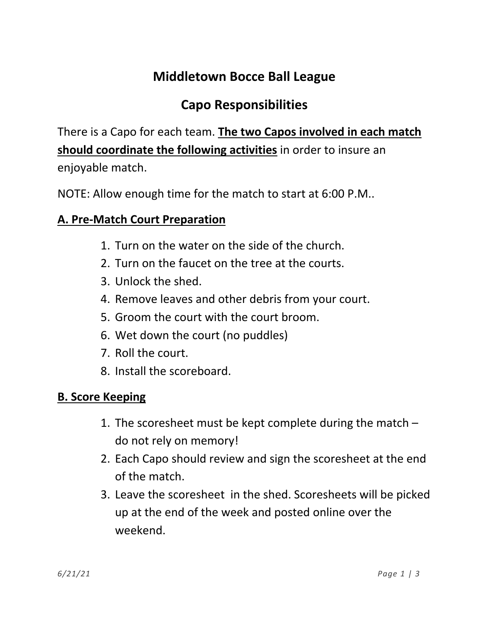# **Middletown Bocce Ball League**

## **Capo Responsibilities**

There is a Capo for each team. **The two Capos involved in each match should coordinate the following activities** in order to insure an enjoyable match.

NOTE: Allow enough time for the match to start at 6:00 P.M..

## **A. Pre-Match Court Preparation**

- 1. Turn on the water on the side of the church.
- 2. Turn on the faucet on the tree at the courts.
- 3. Unlock the shed.
- 4. Remove leaves and other debris from your court.
- 5. Groom the court with the court broom.
- 6. Wet down the court (no puddles)
- 7. Roll the court.
- 8. Install the scoreboard.

## **B. Score Keeping**

- 1. The scoresheet must be kept complete during the match do not rely on memory!
- 2. Each Capo should review and sign the scoresheet at the end of the match.
- 3. Leave the scoresheet in the shed. Scoresheets will be picked up at the end of the week and posted online over the weekend.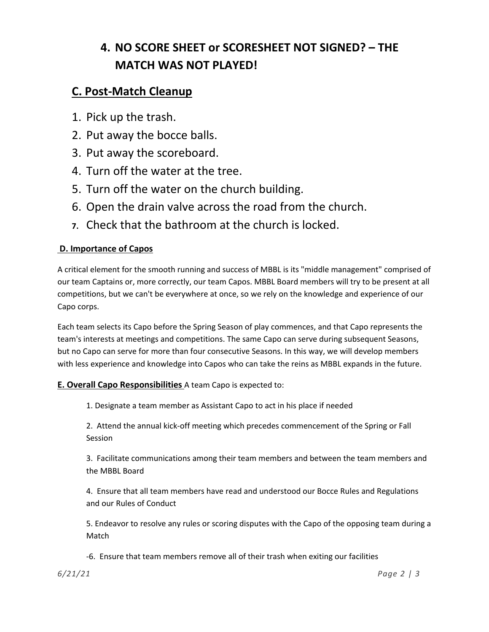## **4. NO SCORE SHEET or SCORESHEET NOT SIGNED? – THE MATCH WAS NOT PLAYED!**

### **C. Post-Match Cleanup**

- 1. Pick up the trash.
- 2. Put away the bocce balls.
- 3. Put away the scoreboard.
- 4. Turn off the water at the tree.
- 5. Turn off the water on the church building.
- 6. Open the drain valve across the road from the church.
- **7.** Check that the bathroom at the church is locked.

#### **D. Importance of Capos**

A critical element for the smooth running and success of MBBL is its "middle management" comprised of our team Captains or, more correctly, our team Capos. MBBL Board members will try to be present at all competitions, but we can't be everywhere at once, so we rely on the knowledge and experience of our Capo corps.

Each team selects its Capo before the Spring Season of play commences, and that Capo represents the team's interests at meetings and competitions. The same Capo can serve during subsequent Seasons, but no Capo can serve for more than four consecutive Seasons. In this way, we will develop members with less experience and knowledge into Capos who can take the reins as MBBL expands in the future.

#### **E. Overall Capo Responsibilities** A team Capo is expected to:

1. Designate a team member as Assistant Capo to act in his place if needed

2. Attend the annual kick-off meeting which precedes commencement of the Spring or Fall Session

3. Facilitate communications among their team members and between the team members and the MBBL Board

4. Ensure that all team members have read and understood our Bocce Rules and Regulations and our Rules of Conduct

5. Endeavor to resolve any rules or scoring disputes with the Capo of the opposing team during a Match

-6. Ensure that team members remove all of their trash when exiting our facilities